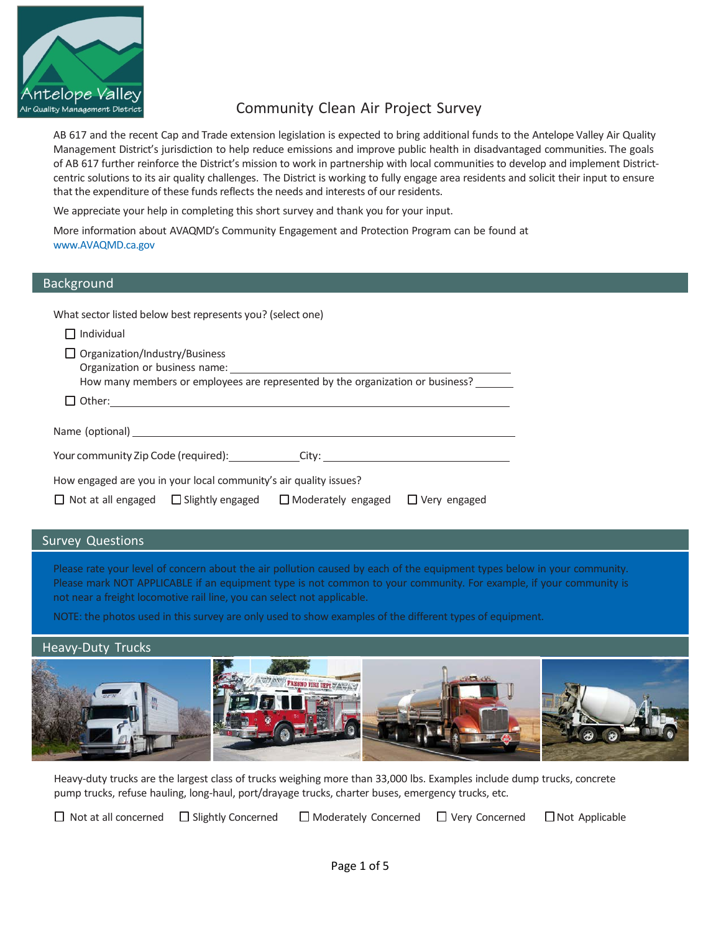

# Community Clean Air Project Survey

AB 617 and the recent Cap and Trade extension legislation is expected to bring additional funds to the Antelope Valley Air Quality Management District's jurisdiction to help reduce emissions and improve public health in disadvantaged communities. The goals of AB 617 further reinforce the District's mission to work in partnership with local communities to develop and implement Districtcentric solutions to its air quality challenges. The District is working to fully engage area residents and solicit their input to ensure that the expenditure of these funds reflects the needs and interests of our residents.

We appreciate your help in completing this short survey and thank you for your input.

More information about AVAQMD's Community Engagement and Protection Program can be found at [www.AVAQMD.ca.gov](http://www.avaqmd.ca.gov/)

#### Background

What sector listed below best represents you? (select one)

| Individual                                                                                                                                                                                                                    |
|-------------------------------------------------------------------------------------------------------------------------------------------------------------------------------------------------------------------------------|
| $\Box$ Organization/Industry/Business<br>How many members or employees are represented by the organization or business?                                                                                                       |
|                                                                                                                                                                                                                               |
|                                                                                                                                                                                                                               |
| Your community Zip Code (required): City: City: City: City: City: City: City: City: City: City: City: City: City: City: City: City: City: City: City: City: City: City: City: City: City: City: City: City: City: City: City: |
| How engaged are you in your local community's air quality issues?<br>$\Box$ Not at all engaged $\Box$ Slightly engaged $\Box$ Moderately engaged $\Box$ Very engaged                                                          |

### Survey Questions

Please rate your level of concern about the air pollution caused by each of the equipment types below in your community. Please mark NOT APPLICABLE if an equipment type is not common to your community. For example, if your community is not near a freight locomotive rail line, you can select not applicable.

NOTE: the photos used in this survey are only used to show examples of the different types of equipment.



Heavy-duty trucks are the largest class of trucks weighing more than 33,000 lbs. Examples include dump trucks, concrete pump trucks, refuse hauling, long-haul, port/drayage trucks, charter buses, emergency trucks, etc.

 $\Box$  Not at all concerned  $\Box$  Slightly Concerned  $\Box$  Moderately Concerned  $\Box$  Very Concerned  $\Box$  Not Applicable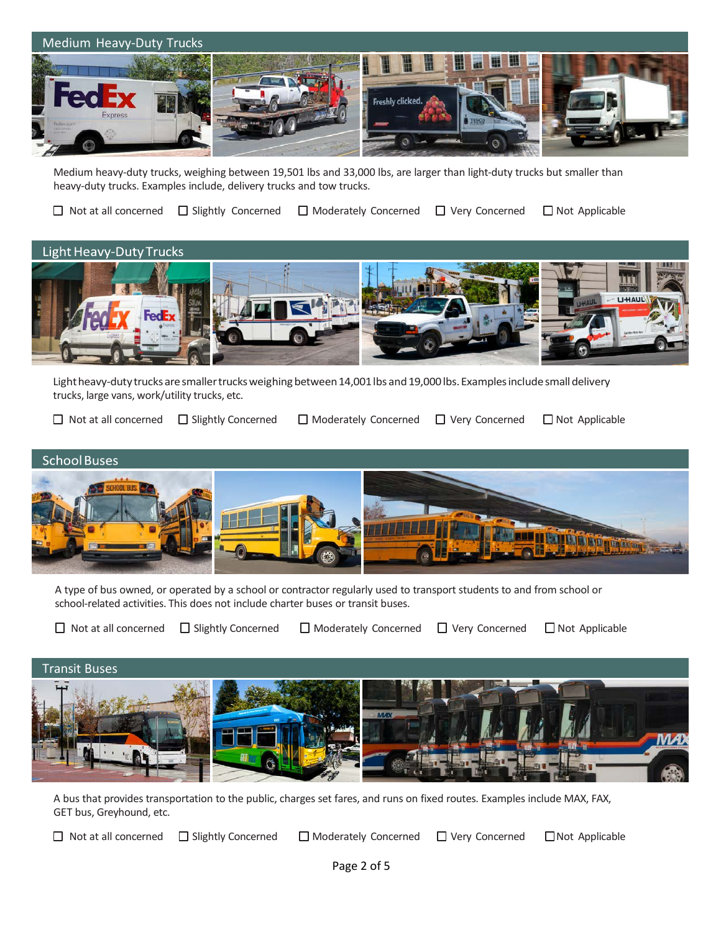

Medium heavy-duty trucks, weighing between 19,501 lbs and 33,000 lbs, are larger than light-duty trucks but smaller than heavy-duty trucks. Examples include, delivery trucks and tow trucks.

 $\Box$  Not at all concerned  $\Box$  Slightly Concerned  $\Box$  Moderately Concerned  $\Box$  Very Concerned  $\Box$  Not Applicable



Light heavy-duty trucks are smaller trucks weighing between 14,001 lbs and 19,000 lbs. Examples include small delivery trucks, large vans, work/utility trucks, etc.

- $\Box$  Not at all concerned  $\Box$  Slightly Concerned  $\Box$  Moderately Concerned  $\Box$  Very Concerned  $\Box$  Not Applicable
	-



A type of bus owned, or operated by a school or contractor regularly used to transport students to and from school or school-related activities. This does not include charter buses or transit buses.

 $\Box$  Not at all concerned  $\Box$  Slightly Concerned  $\Box$  Moderately Concerned  $\Box$  Very Concerned  $\Box$  Not Applicable



A bus that provides transportation to the public, charges set fares, and runs on fixed routes. Examples include MAX, FAX, GET bus, Greyhound, etc.

 $\Box$  Not at all concerned  $\Box$  Slightly Concerned  $\Box$  Moderately Concerned  $\Box$  Very Concerned  $\Box$  Not Applicable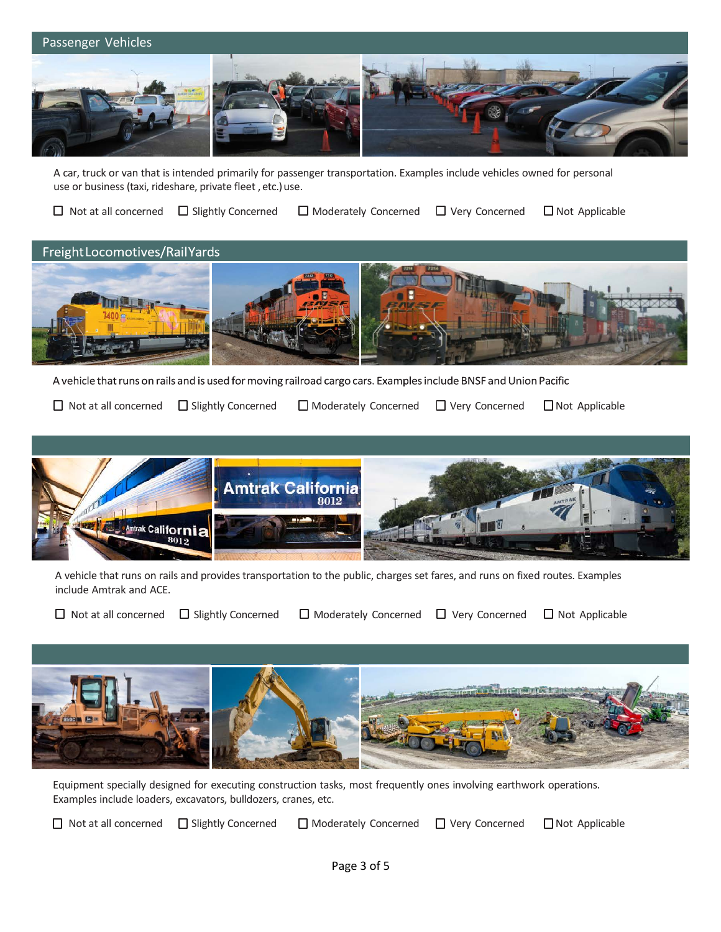

A car, truck or van that is intended primarily for passenger transportation. Examples include vehicles owned for personal use or business (taxi, rideshare, private fleet, etc.) use.

 $\Box$  Not at all concerned  $\Box$  Slightly Concerned  $\Box$  Moderately Concerned  $\Box$  Very Concerned  $\Box$  Not Applicable



A vehicle that runs on rails and is used for moving railroad cargo cars. Examples include BNSF and Union Pacific

 $\Box$  Not at all concerned  $\Box$  Slightly Concerned  $\Box$  Moderately Concerned  $\Box$  Very Concerned  $\Box$  Not Applicable



A vehicle that runs on rails and provides transportation to the public, charges set fares, and runs on fixed routes. Examples include Amtrak and ACE.

 $\Box$  Not at all concerned  $\Box$  Slightly Concerned  $\Box$  Moderately Concerned  $\Box$  Very Concerned  $\Box$  Not Applicable



Equipment specially designed for executing construction tasks, most frequently ones involving earthwork operations. Examples include loaders, excavators, bulldozers, cranes, etc.

 $\Box$  Not at all concerned  $\Box$  Slightly Concerned  $\Box$  Moderately Concerned  $\Box$  Very Concerned  $\Box$  Not Applicable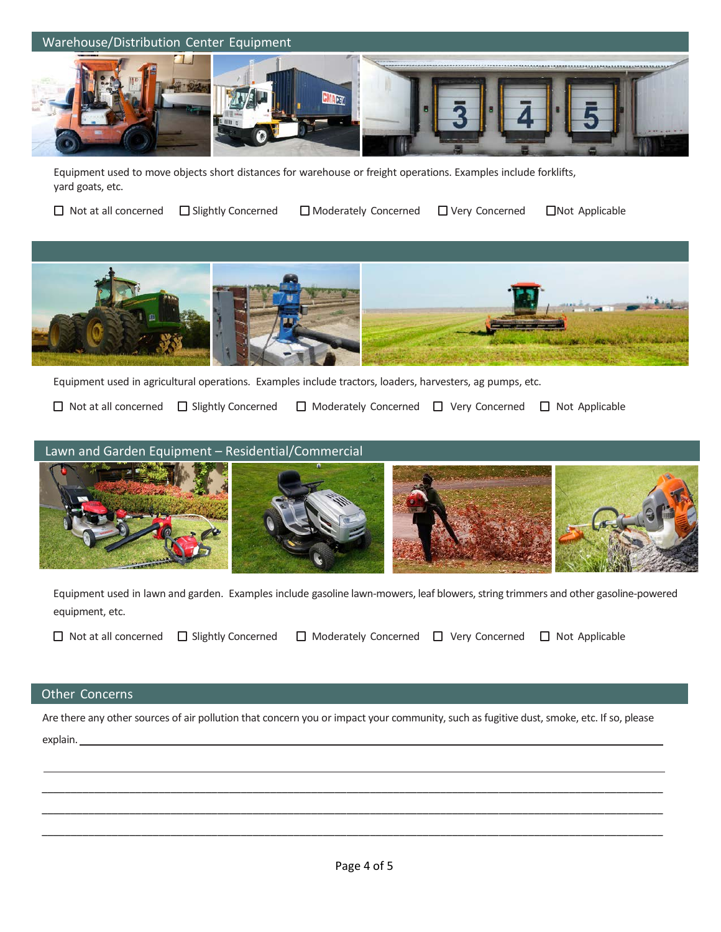

Equipment used to move objects short distances for warehouse or freight operations. Examples include forklifts, yard goats, etc.

 $\Box$  Not at all concerned  $\Box$  Slightly Concerned  $\Box$  Moderately Concerned  $\Box$  Very Concerned  $\Box$  Not Applicable



Equipment used in agricultural operations. Examples include tractors, loaders, harvesters, ag pumps, etc.

 $\Box$  Not at all concerned  $\Box$  Slightly Concerned  $\Box$  Moderately Concerned  $\Box$  Very Concerned  $\Box$  Not Applicable



Equipment used in lawn and garden. Examples include gasoline lawn-mowers, leaf blowers, string trimmers and other gasoline-powered equipment, etc.

 $\Box$  Not at all concerned  $\Box$  Slightly Concerned  $\Box$  Moderately Concerned  $\Box$  Very Concerned  $\Box$  Not Applicable

### Other Concerns

Are there any other sources of air pollution that concern you or impact your community, such as fugitive dust, smoke, etc. If so, please explain.

 \_\_\_\_\_\_\_\_\_\_\_\_\_\_\_\_\_\_\_\_\_\_\_\_\_\_\_\_\_\_\_\_\_\_\_\_\_\_\_\_\_\_\_\_\_\_\_\_\_\_\_\_\_\_\_\_\_\_\_\_\_\_\_\_\_\_\_\_\_\_\_\_\_\_\_\_\_\_\_\_\_\_\_\_\_\_\_\_\_\_\_\_\_\_\_\_\_\_\_\_\_\_\_\_\_\_ \_\_\_\_\_\_\_\_\_\_\_\_\_\_\_\_\_\_\_\_\_\_\_\_\_\_\_\_\_\_\_\_\_\_\_\_\_\_\_\_\_\_\_\_\_\_\_\_\_\_\_\_\_\_\_\_\_\_\_\_\_\_\_\_\_\_\_\_\_\_\_\_\_\_\_\_\_\_\_\_\_\_\_\_\_\_\_\_\_\_\_\_\_\_\_\_\_\_\_\_\_\_\_\_\_\_ \_\_\_\_\_\_\_\_\_\_\_\_\_\_\_\_\_\_\_\_\_\_\_\_\_\_\_\_\_\_\_\_\_\_\_\_\_\_\_\_\_\_\_\_\_\_\_\_\_\_\_\_\_\_\_\_\_\_\_\_\_\_\_\_\_\_\_\_\_\_\_\_\_\_\_\_\_\_\_\_\_\_\_\_\_\_\_\_\_\_\_\_\_\_\_\_\_\_\_\_\_\_\_\_\_\_